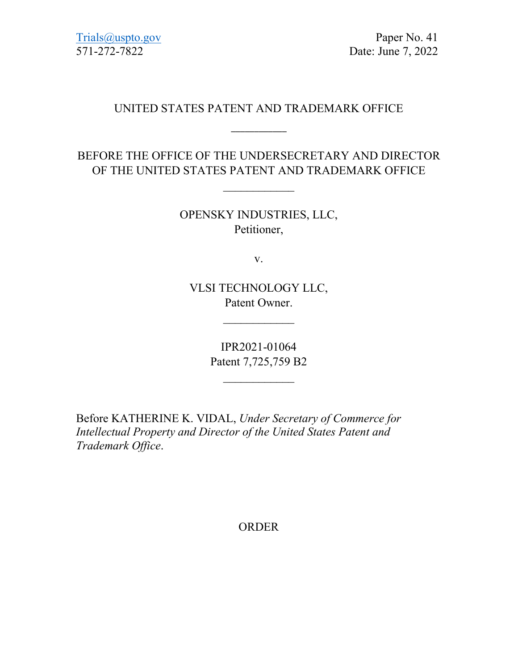[Trials@uspto.gov](mailto:Trials@uspto.gov) Paper No. 41 571-272-7822 Date: June 7, 2022

## UNITED STATES PATENT AND TRADEMARK OFFICE

\_\_\_\_\_\_\_\_\_\_\_\_

BEFORE THE OFFICE OF THE UNDERSECRETARY AND DIRECTOR OF THE UNITED STATES PATENT AND TRADEMARK OFFICE

 $\mathcal{L}$  , we have the set of the set of the set of the set of the set of the set of the set of the set of the set of the set of the set of the set of the set of the set of the set of the set of the set of the set of the

OPENSKY INDUSTRIES, LLC, Petitioner,

v.

VLSI TECHNOLOGY LLC, Patent Owner.

 $\overline{\phantom{a}}$ 

IPR2021-01064 Patent 7,725,759 B2

 $\overline{\phantom{a}}$ 

Before KATHERINE K. VIDAL, *Under Secretary of Commerce for Intellectual Property and Director of the United States Patent and Trademark Office*.

ORDER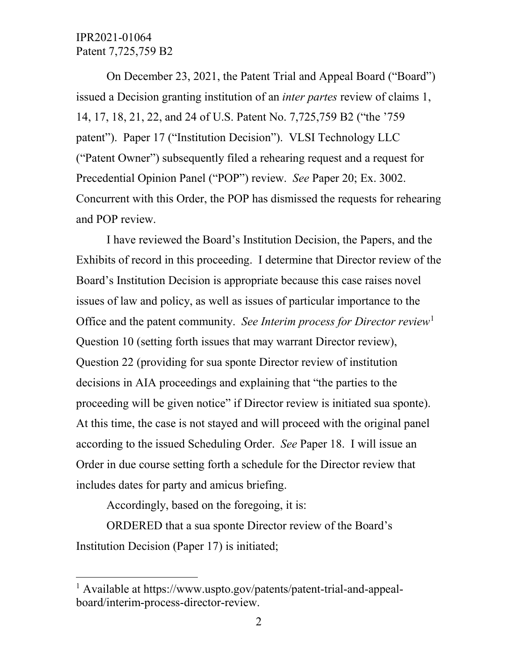## IPR2021-01064 Patent 7,725,759 B2

On December 23, 2021, the Patent Trial and Appeal Board ("Board") issued a Decision granting institution of an *inter partes* review of claims 1, 14, 17, 18, 21, 22, and 24 of U.S. Patent No. 7,725,759 B2 ("the '759 patent"). Paper 17 ("Institution Decision"). VLSI Technology LLC ("Patent Owner") subsequently filed a rehearing request and a request for Precedential Opinion Panel ("POP") review. *See* Paper 20; Ex. 3002. Concurrent with this Order, the POP has dismissed the requests for rehearing and POP review.

I have reviewed the Board's Institution Decision, the Papers, and the Exhibits of record in this proceeding. I determine that Director review of the Board's Institution Decision is appropriate because this case raises novel issues of law and policy, as well as issues of particular importance to the Office and the patent community. *See Interim process for Director review*[1](#page-1-0) Question 10 (setting forth issues that may warrant Director review), Question 22 (providing for sua sponte Director review of institution decisions in AIA proceedings and explaining that "the parties to the proceeding will be given notice" if Director review is initiated sua sponte). At this time, the case is not stayed and will proceed with the original panel according to the issued Scheduling Order. *See* Paper 18. I will issue an Order in due course setting forth a schedule for the Director review that includes dates for party and amicus briefing.

Accordingly, based on the foregoing, it is:

l

ORDERED that a sua sponte Director review of the Board's Institution Decision (Paper 17) is initiated;

<span id="page-1-0"></span><sup>1</sup> Available at https://www.uspto.gov/patents/patent-trial-and-appealboard/interim-process-director-review.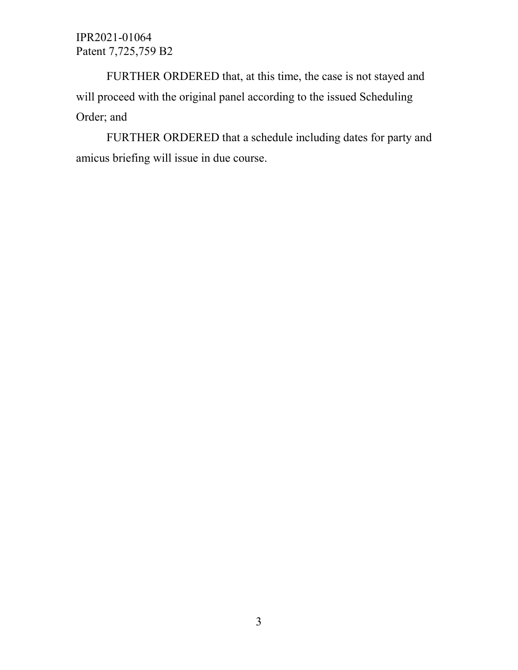IPR2021-01064 Patent 7,725,759 B2

FURTHER ORDERED that, at this time, the case is not stayed and will proceed with the original panel according to the issued Scheduling Order; and

FURTHER ORDERED that a schedule including dates for party and amicus briefing will issue in due course.